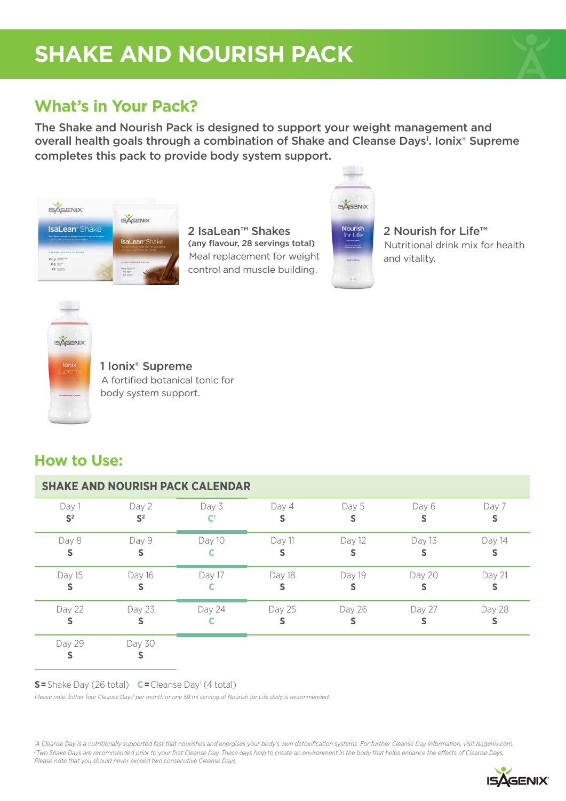# **SHAKE AND NOURISH PACK**



## **What's in Your Pack?**

The Shake and Nourish Pack is designed to support your weight management and overall health goals through a combination of Shake and Cleanse Days<sup>1</sup>. Ionix® Supreme completes this pack to provide body system support.



2 IsaLean<sup>™</sup> Shakes (any flavour, 28 servings total) Meal replacement for weight control and muscle building.



Nourish<br>for Life

2 Nourish for Life™ Nutritional drink mix for health and vitality.



1 Ionix® Supreme A fortified botanical tonic for body system support.

### **How to Use:**

| <b>SHAKE AND NOURISH PACK CALENDAR</b> |                         |        |        |        |             |        |
|----------------------------------------|-------------------------|--------|--------|--------|-------------|--------|
| Day 1<br>S <sup>2</sup>                | Day 2<br>S <sup>2</sup> | Day 3  | Day 4  | Day 5  | Day 6<br>s  | Day 7  |
| Day 8<br>S                             | Day 9<br>S              | Day 10 | Day 11 | Day 12 | Day 13      | Day 14 |
| Day 15<br>s                            | Day 16<br>s             | Day 17 | Day 18 | Day 19 | Day 20<br>s | Day 21 |
| Day 22<br>S                            | Day 23                  | Day 24 | Day 25 | Day 26 | Day 27<br>S | Day 28 |
| Day 29                                 | Day 30                  |        |        |        |             |        |

**S**=Shake Day (26 total) **C**=Cleanse Day<sup>1</sup> (4 total)

Please note: Either four Cleanse Days<sup>1</sup> per month or one 59 ml serving of Nourish for Life daily is recommended.

*1 A Cleanse Day is a nutritionally supported fast that nourishes and energises your body's own detoxification systems. For further Cleanse Day information, visit Isagenix.com. 2 Two Shake Days are recommended prior to your first Cleanse Day. These days help to create an environment in the body that helps enhance the effects of Cleanse Days. Please note that you should never exceed two consecutive Cleanse Days.*